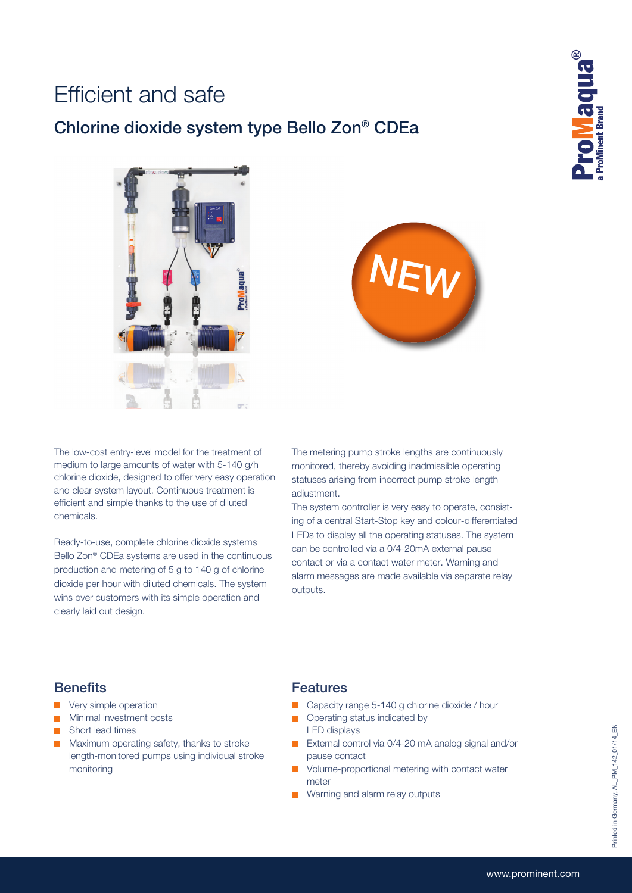## Efficient and safe

### Chlorine dioxide system type Bello Zon® CDEa





The low-cost entry-level model for the treatment of medium to large amounts of water with 5-140 g/h chlorine dioxide, designed to offer very easy operation and clear system layout. Continuous treatment is efficient and simple thanks to the use of diluted chemicals.

Ready-to-use, complete chlorine dioxide systems Bello Zon® CDEa systems are used in the continuous production and metering of 5 g to 140 g of chlorine dioxide per hour with diluted chemicals. The system wins over customers with its simple operation and clearly laid out design.

The metering pump stroke lengths are continuously monitored, thereby avoiding inadmissible operating statuses arising from incorrect pump stroke length adjustment.

The system controller is very easy to operate, consisting of a central Start-Stop key and colour-differentiated LEDs to display all the operating statuses. The system can be controlled via a 0/4-20mA external pause contact or via a contact water meter. Warning and alarm messages are made available via separate relay outputs.

#### **Benefits**

- **Very simple operation**
- **Minimal investment costs**
- **Short lead times**
- **Maximum operating safety, thanks to stroke**  length-monitored pumps using individual stroke monitoring

#### **Features**

- Capacity range 5-140 g chlorine dioxide / hour
- **Operating status indicated by** LED displays
- External control via 0/4-20 mA analog signal and/or pause contact
- Volume-proportional metering with contact water meter
- **Warning and alarm relay outputs**